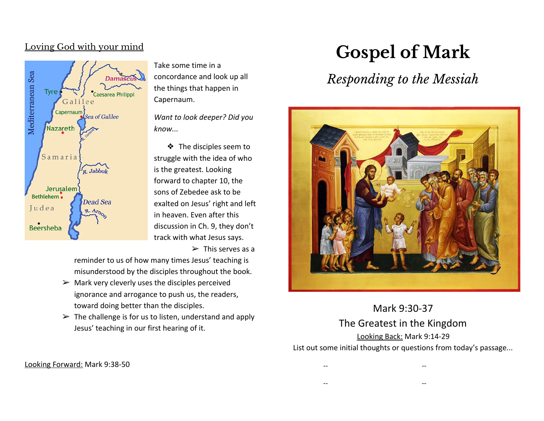### Loving God with your mind



Take some time in a concordance and look up all the things that happen in Capernaum.

*Want to look deeper? Did you know...*

❖ The disciples seem to struggle with the idea of who is the greatest. Looking forward to chapter 10, the sons of Zebedee ask to be exalted on Jesus' right and left in heaven. Even after this discussion in Ch. 9, they don't track with what Jesus says.

 $\triangleright$  This serves as a

reminder to us of how many times Jesus' teaching is misunderstood by the disciples throughout the book.

- $\triangleright$  Mark very cleverly uses the disciples perceived ignorance and arrogance to push us, the readers, toward doing better than the disciples.
- $\triangleright$  The challenge is for us to listen, understand and apply Jesus' teaching in our first hearing of it.

# **Gospel of Mark**

# *Responding to the Messiah*



Mark 9:30-37 The Greatest in the Kingdom Looking Back: Mark 9:14-29 List out some initial thoughts or questions from today's passage...

-- --

-- --

Looking Forward: Mark 9:38-50